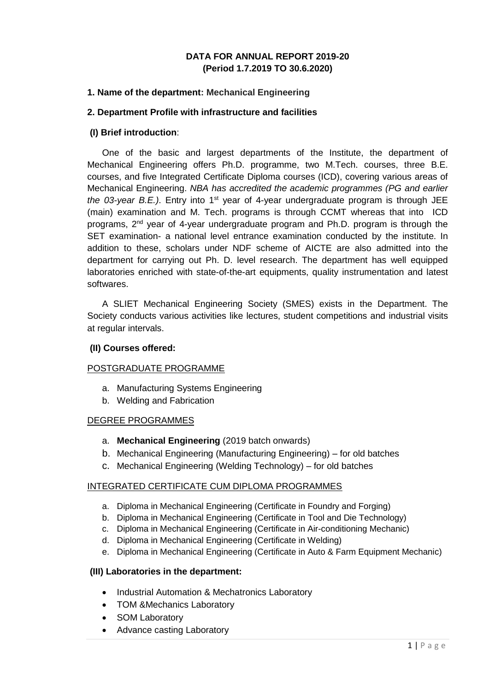### **DATA FOR ANNUAL REPORT 2019-20 (Period 1.7.2019 TO 30.6.2020)**

#### **1. Name of the department: Mechanical Engineering**

#### **2. Department Profile with infrastructure and facilities**

#### **(I) Brief introduction**:

One of the basic and largest departments of the Institute, the department of Mechanical Engineering offers Ph.D. programme, two M.Tech. courses, three B.E. courses, and five Integrated Certificate Diploma courses (ICD), covering various areas of Mechanical Engineering. *NBA has accredited the academic programmes (PG and earlier the 03-year B.E.)*. Entry into 1<sup>st</sup> year of 4-year undergraduate program is through JEE (main) examination and M. Tech. programs is through CCMT whereas that into ICD programs, 2nd year of 4-year undergraduate program and Ph.D. program is through the SET examination- a national level entrance examination conducted by the institute. In addition to these, scholars under NDF scheme of AICTE are also admitted into the department for carrying out Ph. D. level research. The department has well equipped laboratories enriched with state-of-the-art equipments, quality instrumentation and latest softwares.

A SLIET Mechanical Engineering Society (SMES) exists in the Department. The Society conducts various activities like lectures, student competitions and industrial visits at regular intervals.

#### **(II) Courses offered:**

#### POSTGRADUATE PROGRAMME

- a. Manufacturing Systems Engineering
- b. Welding and Fabrication

### DEGREE PROGRAMMES

- a. **Mechanical Engineering** (2019 batch onwards)
- b. Mechanical Engineering (Manufacturing Engineering) for old batches
- c. Mechanical Engineering (Welding Technology) for old batches

### INTEGRATED CERTIFICATE CUM DIPLOMA PROGRAMMES

- a. Diploma in Mechanical Engineering (Certificate in Foundry and Forging)
- b. Diploma in Mechanical Engineering (Certificate in Tool and Die Technology)
- c. Diploma in Mechanical Engineering (Certificate in Air-conditioning Mechanic)
- d. Diploma in Mechanical Engineering (Certificate in Welding)
- e. Diploma in Mechanical Engineering (Certificate in Auto & Farm Equipment Mechanic)

### **(III) Laboratories in the department:**

- Industrial Automation & Mechatronics Laboratory
- TOM &Mechanics Laboratory
- SOM Laboratory
- Advance casting Laboratory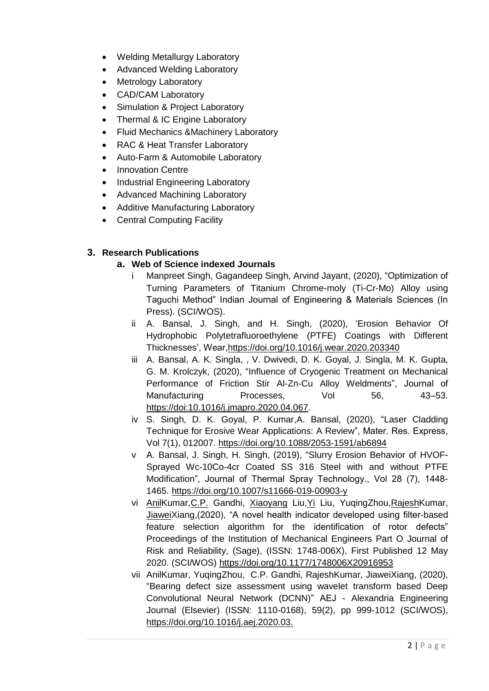- Welding Metallurgy Laboratory
- Advanced Welding Laboratory
- Metrology Laboratory
- CAD/CAM Laboratory
- Simulation & Project Laboratory
- Thermal & IC Engine Laboratory
- Fluid Mechanics &Machinery Laboratory
- RAC & Heat Transfer Laboratory
- Auto-Farm & Automobile Laboratory
- Innovation Centre
- Industrial Engineering Laboratory
- Advanced Machining Laboratory
- Additive Manufacturing Laboratory
- Central Computing Facility

## **3. Research Publications**

## **a. Web of Science indexed Journals**

- i Manpreet Singh, Gagandeep Singh, Arvind Jayant, (2020), "Optimization of Turning Parameters of Titanium Chrome-moly (Ti-Cr-Mo) Alloy using Taguchi Method" Indian Journal of Engineering & Materials Sciences (In Press). (SCI/WOS).
- ii A. Bansal, J. Singh, and H. Singh, (2020), 'Erosion Behavior Of Hydrophobic Polytetrafluoroethylene (PTFE) Coatings with Different Thicknesses', Wear[,https://doi.org/10.1016/j.wear.2020.203340](https://doi.org/10.1016/j.wear.2020.203340)
- iii A. Bansal, A. K. Singla, , V. Dwivedi, D. K. Goyal, J. Singla, M. K. Gupta, G. M. Krolczyk, (2020), "Influence of Cryogenic Treatment on Mechanical Performance of Friction Stir Al-Zn-Cu Alloy Weldments", Journal of Manufacturing Processes, Vol 56, 43–53. https://doi:10.1016/j.jmapro.2020.04.067.
- iv S. Singh, D. K. Goyal, P. Kumar,A. Bansal, (2020), "Laser Cladding Technique for Erosive Wear Applications: A Review", Mater. Res. Express, Vol 7(1), 012007.<https://doi.org/10.1088/2053-1591/ab6894>
- v A. Bansal, J. Singh, H. Singh, (2019), "Slurry Erosion Behavior of HVOF-Sprayed Wc-10Co-4cr Coated SS 316 Steel with and without PTFE Modification", Journal of Thermal Spray Technology., Vol 28 (7), 1448- 1465.<https://doi.org/10.1007/s11666-019-00903-y>
- vi [AnilK](https://www.rediffmail.com/cgi-bin/red.cgi?red=https%3A%2F%2Fwww%2Esciencedirect%2Ecom%2Fscience%2Farticle%2Fpii%2FS1110016820301411%3Fvia%253Dihub%23%21&isImage=0&BlockImage=0&rediffng=0&rogue=7912979e4cbc4a5af35f158a276a4a850431861b&rdf=ACMEbwR1Uz1Wfg==)umar[,C.P.](https://www.rediffmail.com/cgi-bin/red.cgi?red=https%3A%2F%2Fwww%2Esciencedirect%2Ecom%2Fscience%2Farticle%2Fpii%2FS1110016820301411%3Fvia%253Dihub%23%21&isImage=0&BlockImage=0&rediffng=0&rogue=7912979e4cbc4a5af35f158a276a4a850431861b&rdf=V3QEbwh5A21ddQ==) Gandhi, [Xiaoyang](https://www.rediffmail.com/cgi-bin/red.cgi?red=https%3A%2F%2Fwww%2Eresearchgate%2Enet%2Fscientific%2Dcontributions%2F2150832526%5FXiaoyang%5FLiu&isImage=0&BlockImage=0&rediffng=0&rogue=6de5b758b06b7ea49c7617e4a4fd18d382f8babe&rdf=X3xUP1cmBWsAKA==) Liu[,Yi](https://www.rediffmail.com/cgi-bin/red.cgi?red=https%3A%2F%2Fwww%2Eresearchgate%2Enet%2Fscientific%2Dcontributions%2F2160541429%5FYi%5FLiu&isImage=0&BlockImage=0&rediffng=0&rogue=e0ef90ce5b524ee37234c02c9f081422588191e0&rdf=UXIFbgl4XjBTew==) Liu, YuqingZhou[,RajeshK](https://www.rediffmail.com/cgi-bin/red.cgi?red=https%3A%2F%2Fwww%2Esciencedirect%2Ecom%2Fscience%2Farticle%2Fpii%2FS1110016820301411%3Fvia%253Dihub%23%21&isImage=0&BlockImage=0&rediffng=0&rogue=7912979e4cbc4a5af35f158a276a4a850431861b&rdf=X3wGbVMiXzEGLg==)umar, [JiaweiX](https://www.rediffmail.com/cgi-bin/red.cgi?red=https%3A%2F%2Fwww%2Esciencedirect%2Ecom%2Fscience%2Farticle%2Fpii%2FS1110016820301411%3Fvia%253Dihub%23%21&isImage=0&BlockImage=0&rediffng=0&rogue=7912979e4cbc4a5af35f158a276a4a850431861b&rdf=UXJWPQd2AG4CKg==)iang,(2020), "A novel health indicator developed using filter-based feature selection algorithm for the identification of rotor defects" Proceedings of the Institution of Mechanical Engineers Part O Journal of Risk and Reliability, (Sage), (ISSN: 1748-006X), First Published 12 May 2020. (SCI/WOS) [https://doi.org/10.1177/1748006X20916953](https://www.rediffmail.com/cgi-bin/red.cgi?red=https%3A%2F%2Fdoi%2Eorg%2F10%2E1177%2F1748006X20916953&isImage=0&BlockImage=0&rediffng=0&rogue=93fe718204de1f16297e734eae52ae2a129fa9bc&rdf=VHdROgh5AmxVfQ==)
- vii [AnilK](https://www.rediffmail.com/cgi-bin/red.cgi?red=https%3A%2F%2Fwww%2Esciencedirect%2Ecom%2Fscience%2Farticle%2Fpii%2FS1110016820301411%3Fvia%253Dihub%23%21&isImage=0&BlockImage=0&rediffng=0&rogue=7912979e4cbc4a5af35f158a276a4a850431861b&rdf=BCcHbAJzBWsBKQ==)umar, YuqingZho[u,](https://www.rediffmail.com/cgi-bin/red.cgi?red=https%3A%2F%2Fwww%2Esciencedirect%2Ecom%2Fscience%2Farticle%2Fpii%2FS1110016820301411%3Fvia%253Dihub%23%21&isImage=0&BlockImage=0&rediffng=0&rogue=7912979e4cbc4a5af35f158a276a4a850431861b&rdf=UXJWPQNyUjwAKA==) C.P. [Gandhi,](https://www.rediffmail.com/cgi-bin/red.cgi?red=https%3A%2F%2Fwww%2Esciencedirect%2Ecom%2Fscience%2Farticle%2Fpii%2FS1110016820301411%3Fvia%253Dihub%23%21&isImage=0&BlockImage=0&rediffng=0&rogue=7912979e4cbc4a5af35f158a276a4a850431861b&rdf=UHMJYgl4AmxReQ==) [RajeshK](https://www.rediffmail.com/cgi-bin/red.cgi?red=https%3A%2F%2Fwww%2Esciencedirect%2Ecom%2Fscience%2Farticle%2Fpii%2FS1110016820301411%3Fvia%253Dihub%23%21&isImage=0&BlockImage=0&rediffng=0&rogue=7912979e4cbc4a5af35f158a276a4a850431861b&rdf=UHNTOFUkUD5Tew==)umar, [JiaweiX](https://www.rediffmail.com/cgi-bin/red.cgi?red=https%3A%2F%2Fwww%2Esciencedirect%2Ecom%2Fscience%2Farticle%2Fpii%2FS1110016820301411%3Fvia%253Dihub%23%21&isImage=0&BlockImage=0&rediffng=0&rogue=7912979e4cbc4a5af35f158a276a4a850431861b&rdf=UnEGbVMiB2lddQ==)iang, (2020), ["Bearing defect size assessment using wavelet transform based Deep](https://www.rediffmail.com/cgi-bin/red.cgi?red=https%3A%2F%2Fwww%2Eresearchgate%2Enet%2Fpublication%2F340273781%5FBearing%5Fdefect%5Fsize%5Fassessment%5Fusing%5Fwavelet%5Ftransform%5Fbased%5FDeep%5FConvolutional%5FNeural%5FNetwork%5FDCNN&isImage=0&BlockImage=0&rediffng=0&rogue=55419647bbafdcf2f83904be38bf780f642f8030&rdf=VnUJYgBxAmxReQ==)  [Convolutional Neural Network \(DCNN\)"](https://www.rediffmail.com/cgi-bin/red.cgi?red=https%3A%2F%2Fwww%2Eresearchgate%2Enet%2Fpublication%2F340273781%5FBearing%5Fdefect%5Fsize%5Fassessment%5Fusing%5Fwavelet%5Ftransform%5Fbased%5FDeep%5FConvolutional%5FNeural%5FNetwork%5FDCNN&isImage=0&BlockImage=0&rediffng=0&rogue=55419647bbafdcf2f83904be38bf780f642f8030&rdf=VnUJYgBxAmxReQ==) AEJ - Alexandria Engineering Journal (Elsevier) (ISSN: 1110-0168), 59(2), pp 999-1012 (SCI/WOS), [https://doi.org/10.1016/j.aej.2020.03.](https://www.rediffmail.com/cgi-bin/red.cgi?red=https%3A%2F%2Fdoi%2Eorg%2F10%2E1016%2Fj%2Eaej%2E2020%2E03%2E034&isImage=0&BlockImage=0&rediffng=0&rogue=12f52c5f60a376dddb300812971527b3beae6081&rdf=UXIGbVUkBWtSeg==)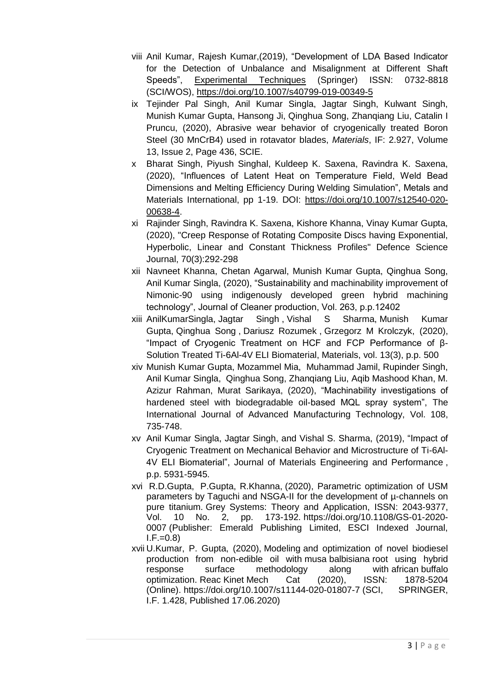- viii Anil Kumar, Rajesh Kumar,(2019), "Development of LDA Based Indicator for the Detection of Unbalance and Misalignment at Different Shaft Speeds", [Experimental Techniques](https://www.rediffmail.com/cgi-bin/red.cgi?red=https%3A%2F%2Flink%2Espringer%2Ecom%2Fjournal%2F40799&isImage=0&BlockImage=0&rediffng=0&rogue=898c189043a2ff33c6889a283398285e7d09e027&rdf=X3xWPVIjVTsAKA==) (Springer) ISSN: 0732-8818 (SCI/WOS), [https://doi.org/10.1007/s40799-019-00349-5](https://www.rediffmail.com/cgi-bin/red.cgi?red=https%3A%2F%2Fdoi.org%2F10.1007%2Fs40799-019-00349-5&isImage=0&BlockImage=0&rediffng=0&rdf=U3BWPVUkVDoHLw%3D%3D&rogue=9f6d5b3132589a165d92a3640feca59eaa6a5681)
- ix Tejinder Pal Singh, Anil Kumar Singla, Jagtar Singh, Kulwant Singh, Munish Kumar Gupta, Hansong Ji, Qinghua Song, Zhanqiang Liu, Catalin I Pruncu, (2020), Abrasive wear behavior of cryogenically treated Boron Steel (30 MnCrB4) used in rotavator blades, *Materials*, IF: 2.927, Volume 13, Issue 2, Page 436, SCIE.
- x Bharat Singh, Piyush Singhal, Kuldeep K. Saxena, Ravindra K. Saxena, (2020), "Influences of Latent Heat on Temperature Field, Weld Bead Dimensions and Melting Efficiency During Welding Simulation", Metals and Materials International, pp 1-19. DOI: [https://doi.org/10.1007/s12540-020-](https://doi.org/10.1007/s12540-020-00638-4) [00638-4.](https://doi.org/10.1007/s12540-020-00638-4)
- xi Rajinder Singh, Ravindra K. Saxena, Kishore Khanna, Vinay Kumar Gupta, (2020), "Creep Response of Rotating Composite Discs having Exponential, Hyperbolic, Linear and Constant Thickness Profiles" Defence Science Journal, 70(3):292-298
- xii Navneet Khanna, Chetan Agarwal, Munish Kumar Gupta, Qinghua Song, Anil Kumar Singla, (2020), "Sustainability and machinability improvement of Nimonic-90 using indigenously developed green hybrid machining technology", Journal of Cleaner production, Vol. 263, p.p.12402
- xiii AnilKumarSingla, Jagtar Singh , Vishal S Sharma, Munish Kumar Gupta, Qinghua Song , Dariusz Rozumek , Grzegorz M Krolczyk, (2020), "Impact of Cryogenic Treatment on HCF and FCP Performance of β-Solution Treated Ti-6Al-4V ELI Biomaterial, Materials, vol. 13(3), p.p. 500
- xiv Munish Kumar Gupta, Mozammel Mia, Muhammad Jamil, Rupinder Singh, Anil Kumar Singla, Qinghua Song, Zhanqiang Liu, Aqib Mashood Khan, M. Azizur Rahman, Murat Sarikaya, (2020), "Machinability investigations of hardened steel with biodegradable oil-based MQL spray system", The International Journal of Advanced Manufacturing Technology, Vol. 108, 735-748.
- xv Anil Kumar Singla, Jagtar Singh, and Vishal S. Sharma, (2019), "Impact of Cryogenic Treatment on Mechanical Behavior and Microstructure of Ti-6Al-4V ELI Biomaterial", [Journal of Materials Engineering and Performance](https://link.springer.com/journal/11665) , p.p. 5931-5945.
- xvi [R.D.G](https://www.emerald.com/insight/search?q=Rahul%20Dev%20Gupta)upta, [P.G](https://www.emerald.com/insight/search?q=Pardeep%20Gupta)upta, [R.K](https://www.emerald.com/insight/search?q=Rajesh%20Khanna)hanna, (2020), Parametric optimization of USM parameters by Taguchi and NSGA-II for the development of µ-channels on pure titanium. [Grey Systems: Theory and Application,](https://www.emerald.com/insight/publication/issn/2043-9377) ISSN: 2043-9377, Vol. 10 No. 2, pp. 173-192. [https://doi.org/10.1108/GS-01-2020-](https://doi.org/10.1108/GS-01-2020-0007) [0007](https://doi.org/10.1108/GS-01-2020-0007) (Publisher: Emerald Publishing Limited, ESCI Indexed Journal,  $I.F.=0.8$
- xvii U.Kumar, P. Gupta, (2020), Modeling and optimization of novel biodiesel production from non-edible oil with musa balbisiana root using hybrid response surface methodology along with african buffalo optimization. Reac Kinet Mech Cat (2020), ISSN: 1878-5204 (Online). <https://doi.org/10.1007/s11144-020-01807-7> (SCI, SPRINGER, I.F. 1.428, Published 17.06.2020)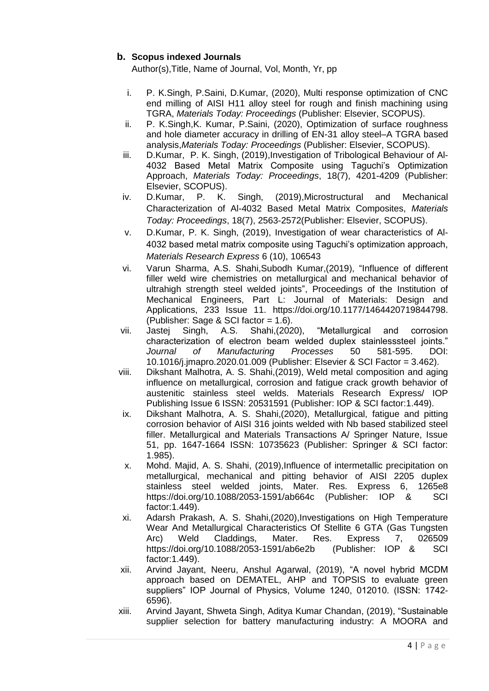## **b. Scopus indexed Journals**

Author(s),Title, Name of Journal, Vol, Month, Yr, pp

- i. P. K.Singh, P.Saini, D.Kumar, (2020), [Multi response optimization of CNC](javascript:void(0))  [end milling of AISI H11 alloy steel for rough and finish machining using](javascript:void(0))  [TGRA,](javascript:void(0)) *Materials Today: Proceedings* (Publisher: Elsevier, SCOPUS).
- ii. P. K.Singh,K. Kumar, P.Saini, (2020), Optimization of surface roughness and hole diameter accuracy in drilling of EN-31 alloy steel–A TGRA based analysis,*Materials Today: Proceedings* (Publisher: Elsevier, SCOPUS).
- iii. D.Kumar, P. K. Singh, (2019), Investigation of Tribological Behaviour of Al-[4032 Based Metal Matrix Composite using Taguchi's Optimization](javascript:void(0))  [Approach,](javascript:void(0)) *Materials Today: Proceedings*, 18(7), 4201-4209 (Publisher: Elsevier, SCOPUS).
- iv. D.Kumar, P. K. Singh, (2019)[,Microstructural and Mechanical](javascript:void(0))  [Characterization of Al-4032 Based Metal Matrix Composites,](javascript:void(0)) *Materials Today: Proceedings*, 18(7), 2563-2572(Publisher: Elsevier, SCOPUS).
- v. D.Kumar, P. K. Singh, (2019), Investigation of wear characteristics of Al-4032 based metal matrix composite using Taguchi's optimization approach, *Materials Research Express* 6 (10), 106543
- vi. [Varun Sharma,](https://journals.sagepub.com/doi/abs/10.1177/1464420719844798) A.S. [Shahi,Subodh Kumar,](https://journals.sagepub.com/doi/abs/10.1177/1464420719844798)(2019), "Influence of different filler weld wire chemistries on metallurgical and mechanical behavior of ultrahigh strength steel welded joints", Proceedings of the Institution of Mechanical Engineers, Part L: Journal of Materials: Design and Applications, 233 Issue 11. [https://doi.org/10.1177/1464420719844798.](https://doi.org/10.1177/1464420719844798) (Publisher: Sage & SCI factor = 1.6).
- vii. Jastej Singh, A.S. Shahi,(2020), "Metallurgical and corrosion characterization of electron beam welded duplex stainlesssteel joints." *Journal of Manufacturing Processes* 50 581-595. DOI: 10.1016/j.jmapro.2020.01.009 (Publisher: Elsevier & SCI Factor = 3.462).
- viii. Dikshant Malhotra, A. S. Shahi,(2019), Weld metal composition and aging influence on metallurgical, corrosion and fatigue crack growth behavior of austenitic stainless steel welds. Materials Research Express/ IOP Publishing Issue 6 ISSN: 20531591 (Publisher: IOP & SCI factor:1.449).
- ix. Dikshant Malhotra, A. S. Shahi,(2020), Metallurgical, fatigue and pitting corrosion behavior of AISI 316 joints welded with Nb based stabilized steel filler. Metallurgical and Materials Transactions A/ Springer Nature, Issue 51, pp. 1647-1664 ISSN: 10735623 (Publisher: Springer & SCI factor: 1.985).
- x. Mohd. Majid, A. S. Shahi, (2019),Influence of intermetallic precipitation on metallurgical, mechanical and pitting behavior of AISI 2205 duplex stainless steel welded joints, Mater. Res. Express 6, 1265e8 <https://doi.org/10.1088/2053-1591/ab664c> (Publisher: IOP & SCI factor:1.449).
- xi. Adarsh Prakash, A. S. Shahi,(2020),Investigations on High Temperature Wear And Metallurgical Characteristics Of Stellite 6 GTA (Gas Tungsten Arc) Weld Claddings, Mater. Res. Express 7, 026509 <https://doi.org/10.1088/2053-1591/ab6e2b>(Publisher: IOP & SCI factor:1.449).
- xii. Arvind Jayant, Neeru, Anshul Agarwal, (2019), "A novel hybrid MCDM approach based on DEMATEL, AHP and TOPSIS to evaluate green suppliers" IOP Journal of Physics, Volume 1240, 012010. (ISSN: 1742- 6596).
- xiii. Arvind Jayant, Shweta Singh, Aditya Kumar Chandan, (2019), "Sustainable supplier selection for battery manufacturing industry: A MOORA and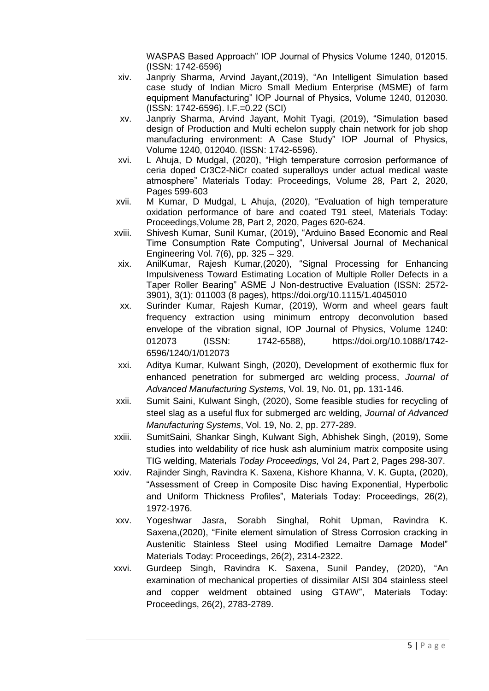WASPAS Based Approach" IOP Journal of Physics Volume 1240, 012015. (ISSN: 1742-6596)

- xiv. Janpriy Sharma, Arvind Jayant,(2019), "An Intelligent Simulation based case study of Indian Micro Small Medium Enterprise (MSME) of farm equipment Manufacturing" IOP Journal of Physics, Volume 1240, 012030. (ISSN: 1742-6596). I.F.=0.22 (SCI)
- xv. Janpriy Sharma, Arvind Jayant, Mohit Tyagi, (2019), "Simulation based design of Production and Multi echelon supply chain network for job shop manufacturing environment: A Case Study" IOP Journal of Physics, Volume 1240, 012040. (ISSN: 1742-6596).
- xvi. L Ahuja, D Mudgal, (2020), "High temperature corrosion performance of ceria doped Cr3C2-NiCr coated superalloys under actual medical waste atmosphere" Materials Today: Proceedings, Volume 28, Part 2, 2020, Pages 599-603
- xvii. M Kumar, D Mudgal, L Ahuja, (2020), "Evaluation of high temperature oxidation performance of bare and coated T91 steel, Materials Today: Proceedings,Volume 28, Part 2, 2020, Pages 620-624.
- xviii. Shivesh Kumar, Sunil Kumar, (2019), "Arduino Based Economic and Real Time Consumption Rate Computing", Universal Journal of Mechanical Engineering Vol. 7(6), pp. 325 – 329.
- xix. AnilKumar, Rajesh Kumar,(2020), ["Signal Processing for Enhancing](https://www.rediffmail.com/cgi-bin/red.cgi?red=https%3A%2F%2Fwww%2Eresearchgate%2Enet%2Fpublication%2F336206110%5FSignal%5FProcessing%5Ffor%5FEnhancing%5FImpulsiveness%5FToward%5FEstimating%5FLocation%5Fof%5FMultiple%5FRoller%5FDefects%5Fin%5Fa%5FTaper%5FRoller%5FBearing%3F%5Fsg%3D4FUMnYMHRIC3YJ4oTl1jYWAHJdEOYg7r54dp4z%5F2ZatL%2Da4wscVrXy%5FweDZEYNwccvN%2DRSf3eo3verRDpSD9aPPvuuRmGCN7NnuppnlG%2EJ76KYPnbWU4Ss4A8XVqb9RCJVP7fyt2f%5F6jNP1FtWfBHFv8df67XxI%2DjlnTt9zRd7PGTI4iIIpTLEqAnWtPXRQ&isImage=0&BlockImage=0&rediffng=0&rogue=cef5e37a26df04ae050e3f4b7f6a88761121c8cb&rdf=X3wGbVUkB2lWfg==)  [Impulsiveness Toward Estimating Location of Multiple Roller Defects in a](https://www.rediffmail.com/cgi-bin/red.cgi?red=https%3A%2F%2Fwww%2Eresearchgate%2Enet%2Fpublication%2F336206110%5FSignal%5FProcessing%5Ffor%5FEnhancing%5FImpulsiveness%5FToward%5FEstimating%5FLocation%5Fof%5FMultiple%5FRoller%5FDefects%5Fin%5Fa%5FTaper%5FRoller%5FBearing%3F%5Fsg%3D4FUMnYMHRIC3YJ4oTl1jYWAHJdEOYg7r54dp4z%5F2ZatL%2Da4wscVrXy%5FweDZEYNwccvN%2DRSf3eo3verRDpSD9aPPvuuRmGCN7NnuppnlG%2EJ76KYPnbWU4Ss4A8XVqb9RCJVP7fyt2f%5F6jNP1FtWfBHFv8df67XxI%2DjlnTt9zRd7PGTI4iIIpTLEqAnWtPXRQ&isImage=0&BlockImage=0&rediffng=0&rogue=cef5e37a26df04ae050e3f4b7f6a88761121c8cb&rdf=X3wGbVUkB2lWfg==)  [Taper Roller Bearing"](https://www.rediffmail.com/cgi-bin/red.cgi?red=https%3A%2F%2Fwww%2Eresearchgate%2Enet%2Fpublication%2F336206110%5FSignal%5FProcessing%5Ffor%5FEnhancing%5FImpulsiveness%5FToward%5FEstimating%5FLocation%5Fof%5FMultiple%5FRoller%5FDefects%5Fin%5Fa%5FTaper%5FRoller%5FBearing%3F%5Fsg%3D4FUMnYMHRIC3YJ4oTl1jYWAHJdEOYg7r54dp4z%5F2ZatL%2Da4wscVrXy%5FweDZEYNwccvN%2DRSf3eo3verRDpSD9aPPvuuRmGCN7NnuppnlG%2EJ76KYPnbWU4Ss4A8XVqb9RCJVP7fyt2f%5F6jNP1FtWfBHFv8df67XxI%2DjlnTt9zRd7PGTI4iIIpTLEqAnWtPXRQ&isImage=0&BlockImage=0&rediffng=0&rogue=cef5e37a26df04ae050e3f4b7f6a88761121c8cb&rdf=X3wGbVUkB2lWfg==) ASME J Non-destructive Evaluation (ISSN: 2572- 3901), 3(1): 011003 (8 pages), [https://doi.org/10.1115/1.4045010](https://www.rediffmail.com/cgi-bin/red.cgi?red=https%3A%2F%2Fdoi%2Eorg%2F10%2E1115%2F1%2E4045010&isImage=0&BlockImage=0&rediffng=0&rogue=a41915839d11476ad169bdcddfa17bd04bc455e6&rdf=ACMAawh5VTtReQ==)
- xx. Surinder Kumar, Rajesh Kumar, (2019), Worm and wheel gears fault frequency extraction using minimum entropy deconvolution based envelope of the vibration signal, IOP Journal of Physics, Volume 1240: 012073 (ISSN: 1742-6588), [https://doi.org/10.1088/1742-](https://www.rediffmail.com/cgi-bin/red.cgi?red=https%3A%2F%2Fdoi%2Eorg%2F10%2E1088%2F1742%2D6596%2F1240%2F1%2F012073&isImage=0&BlockImage=0&rediffng=0&rogue=5ad20e9eff66245f4e9b91aa1d1ae2b06e0823aa&rdf=Xn0CaVAhB2lQeA==) [6596/1240/1/012073](https://www.rediffmail.com/cgi-bin/red.cgi?red=https%3A%2F%2Fdoi%2Eorg%2F10%2E1088%2F1742%2D6596%2F1240%2F1%2F012073&isImage=0&BlockImage=0&rediffng=0&rogue=5ad20e9eff66245f4e9b91aa1d1ae2b06e0823aa&rdf=Xn0CaVAhB2lQeA==)
- xxi. Aditya Kumar, Kulwant Singh, (2020), Development of exothermic flux for enhanced penetration for submerged arc welding process, *Journal of Advanced Manufacturing Systems*, Vol. 19, No. 01, pp. 131-146.
- xxii. Sumit Saini, Kulwant Singh, (2020), Some feasible studies for recycling of steel slag as a useful flux for submerged arc welding, *Journal of Advanced Manufacturing Systems*, Vol. 19, No. 2, pp. 277-289.
- xxiii. SumitSaini, Shankar Singh, Kulwant Sigh, Abhishek Singh, (2019), Some studies into weldability of rice husk ash aluminium matrix composite using TIG welding, Materials *Today Proceedings,* Vol 24, Part 2, Pages 298-307.
- xxiv. Rajinder Singh, Ravindra K. Saxena, Kishore Khanna, V. K. Gupta, (2020), "Assessment of Creep in Composite Disc having Exponential, Hyperbolic and Uniform Thickness Profiles", Materials Today: Proceedings, 26(2), 1972-1976.
- xxv. Yogeshwar Jasra, Sorabh Singhal, Rohit Upman, Ravindra K. Saxena,(2020), "Finite element simulation of Stress Corrosion cracking in Austenitic Stainless Steel using Modified Lemaitre Damage Model" Materials Today: Proceedings, 26(2), 2314-2322.
- xxvi. Gurdeep Singh, Ravindra K. Saxena, Sunil Pandey, (2020), "An examination of mechanical properties of dissimilar AISI 304 stainless steel and copper weldment obtained using GTAW", Materials Today: Proceedings, 26(2), 2783-2789.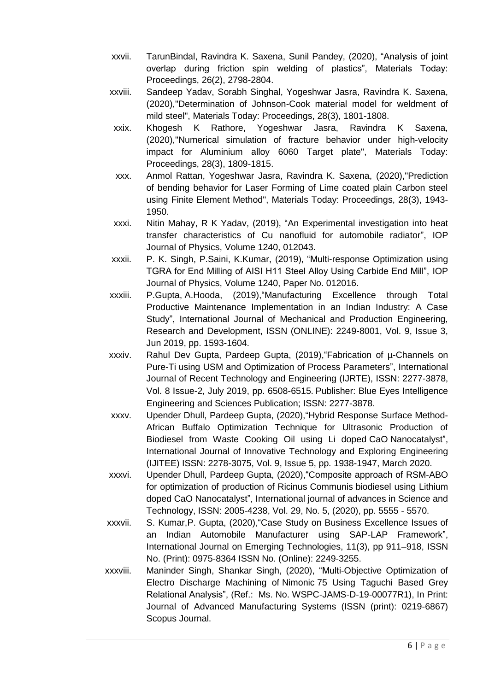- xxvii. TarunBindal, Ravindra K. Saxena, Sunil Pandey, (2020), "Analysis of joint overlap during friction spin welding of plastics", Materials Today: Proceedings, 26(2), 2798-2804.
- xxviii. Sandeep Yadav, Sorabh Singhal, Yogeshwar Jasra, Ravindra K. Saxena, (2020),"Determination of Johnson-Cook material model for weldment of mild steel", Materials Today: Proceedings, 28(3), 1801-1808.
- xxix. Khogesh K Rathore, Yogeshwar Jasra, Ravindra K Saxena, (2020),"Numerical simulation of fracture behavior under high-velocity impact for Aluminium alloy 6060 Target plate", Materials Today: Proceedings, 28(3), 1809-1815.
- xxx. Anmol Rattan, Yogeshwar Jasra, Ravindra K. Saxena, (2020),"Prediction of bending behavior for Laser Forming of Lime coated plain Carbon steel using Finite Element Method", Materials Today: Proceedings, 28(3), 1943- 1950.
- xxxi. Nitin Mahay, R K Yadav, (2019), "An Experimental investigation into heat transfer characteristics of Cu nanofluid for automobile radiator", IOP Journal of Physics, Volume 1240, 012043.
- xxxii. P. K. Singh, P.Saini, K.Kumar, (2019), "Multi-response Optimization using TGRA for End Milling of AISI H11 Steel Alloy Using Carbide End Mill", IOP Journal of Physics, Volume 1240, Paper No. 012016.
- xxxiii. P.Gupta, A.Hooda, (2019),"Manufacturing Excellence through Total Productive Maintenance Implementation in an Indian Industry: A Case Study", International Journal of Mechanical and Production Engineering, Research and Development, ISSN (ONLINE): 2249-8001, Vol. 9, Issue 3, Jun 2019, pp. 1593-1604.
- xxxiv. Rahul Dev Gupta, Pardeep Gupta, (2019),"Fabrication of µ-Channels on Pure-Ti using USM and Optimization of Process Parameters", International Journal of Recent Technology and Engineering (IJRTE), ISSN: 2277-3878, Vol. 8 Issue-2, July 2019, pp. 6508-6515. Publisher: Blue Eyes Intelligence Engineering and Sciences Publication; ISSN: 2277-3878.
- xxxv. Upender Dhull, Pardeep Gupta, (2020),"Hybrid Response Surface Method-African Buffalo Optimization Technique for Ultrasonic Production of Biodiesel from Waste Cooking Oil using Li doped CaO Nanocatalyst", International Journal of Innovative Technology and Exploring Engineering (IJITEE) ISSN: 2278-3075, Vol. 9, Issue 5, pp. 1938-1947, March 2020.
- xxxvi. Upender Dhull, Pardeep Gupta, (2020),"Composite approach of RSM-ABO for optimization of production of Ricinus Communis biodiesel using Lithium doped CaO Nanocatalyst", International journal of advances in Science and Technology, ISSN: 2005-4238, Vol. 29, No. 5, (2020), pp. 5555 - 5570.
- xxxvii. S. Kumar,P. Gupta, (2020),"Case Study on Business Excellence Issues of an Indian Automobile Manufacturer using SAP-LAP Framework", International Journal on Emerging Technologies, 11(3), pp 911–918, ISSN No. (Print): 0975-8364 ISSN No. (Online): 2249-3255.
- xxxviii. Maninder Singh, Shankar Singh, (2020), "Multi-Objective Optimization of Electro Discharge Machining of Nimonic 75 Using Taguchi Based Grey Relational Analysis", (Ref.: Ms. No. WSPC-JAMS-D-19-00077R1), In Print: Journal of Advanced Manufacturing Systems (ISSN (print): 0219-6867) Scopus Journal.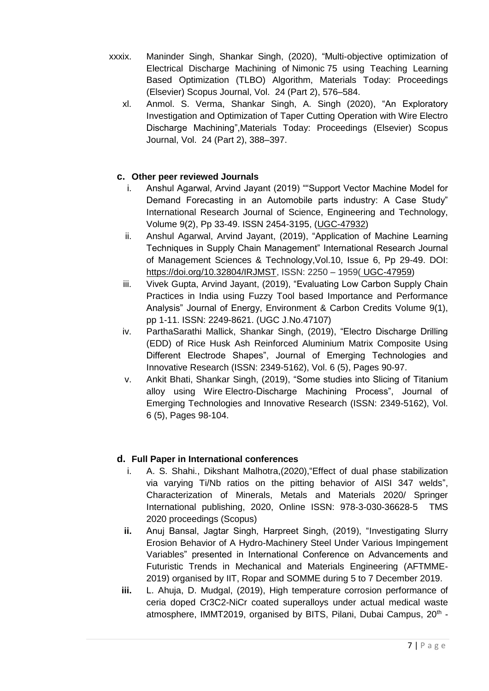xxxix. Maninder Singh, Shankar Singh, (2020), "Multi-objective optimization of Electrical Discharge Machining of Nimonic 75 using Teaching Learning Based Optimization (TLBO) Algorithm, Materials Today: Proceedings (Elsevier) Scopus Journal, Vol. 24 (Part 2), 576–584.

xl. Anmol. S. Verma, Shankar Singh, A. Singh (2020), "An Exploratory Investigation and Optimization of Taper Cutting Operation with Wire Electro Discharge Machining",Materials Today: Proceedings (Elsevier) Scopus Journal, Vol. 24 (Part 2), 388–397.

# **c. Other peer reviewed Journals**

- i. Anshul Agarwal, Arvind Jayant (2019) ""Support Vector Machine Model for Demand Forecasting in an Automobile parts industry: A Case Study" International Research Journal of Science, Engineering and Technology, Volume 9(2), Pp 33-49. ISSN 2454-3195, [\(UGC-47932\)](http://www.sphert.org/images/rjset_ugc.jpg)
- ii. Anshul Agarwal, Arvind Jayant, (2019), "Application of Machine Learning Techniques in Supply Chain Management" International Research Journal of Management Sciences & Technology,Vol.10, Issue 6, Pp 29-49. DOI: [https://doi.org/10.32804/IRJMST,](https://doi.org/10.32804/IRJMST) ISSN: 2250 – 1959( [UGC-47959\)](http://sphert.org/images/irjmst_ugc.jpg)
- iii. Vivek Gupta, Arvind Jayant, (2019), "Evaluating Low Carbon Supply Chain Practices in India using Fuzzy Tool based Importance and Performance Analysis" Journal of Energy, Environment & Carbon Credits Volume 9(1), pp 1-11. ISSN: 2249-8621. (UGC J.No.47107)
- iv. ParthaSarathi Mallick, Shankar Singh, (2019), "Electro Discharge Drilling (EDD) of Rice Husk Ash Reinforced Aluminium Matrix Composite Using Different Electrode Shapes", Journal of Emerging Technologies and Innovative Research (ISSN: 2349-5162), Vol. 6 (5), Pages 90-97.
- v. Ankit Bhati, Shankar Singh, (2019), "Some studies into Slicing of Titanium alloy using Wire Electro-Discharge Machining Process", Journal of Emerging Technologies and Innovative Research (ISSN: 2349-5162), Vol. 6 (5), Pages 98-104.

# **d. Full Paper in International conferences**

- i. A. S. Shahi., Dikshant Malhotra,(2020),"Effect of dual phase stabilization via varying Ti/Nb ratios on the pitting behavior of AISI 347 welds", Characterization of Minerals, Metals and Materials 2020/ Springer International publishing, 2020, Online ISSN: 978-3-030-36628-5 TMS 2020 proceedings (Scopus)
- **ii.** Anuj Bansal, Jagtar Singh, Harpreet Singh, (2019), "Investigating Slurry Erosion Behavior of A Hydro-Machinery Steel Under Various Impingement Variables" presented in International Conference on Advancements and Futuristic Trends in Mechanical and Materials Engineering (AFTMME-2019) organised by IIT, Ropar and SOMME during 5 to 7 December 2019.
- **iii.** L. Ahuja, D. Mudgal, (2019), High temperature corrosion performance of ceria doped Cr3C2-NiCr coated superalloys under actual medical waste atmosphere, IMMT2019, organised by BITS, Pilani, Dubai Campus, 20<sup>th</sup> -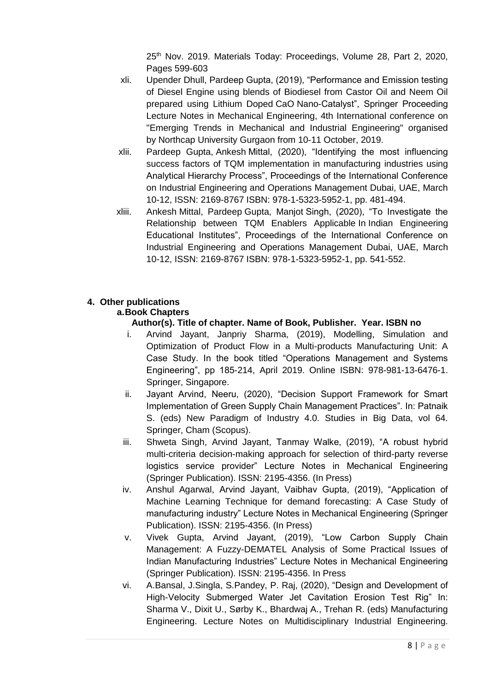25<sup>th</sup> Nov. 2019. Materials Today: Proceedings, Volume 28, Part 2, 2020, Pages 599-603

- xli. Upender Dhull, Pardeep Gupta, (2019), "Performance and Emission testing of Diesel Engine using blends of Biodiesel from Castor Oil and Neem Oil prepared using Lithium Doped CaO Nano-Catalyst", Springer Proceeding Lecture Notes in Mechanical Engineering, 4th International conference on "Emerging Trends in Mechanical and Industrial Engineering" organised by Northcap University Gurgaon from 10-11 October, 2019.
- xlii. Pardeep Gupta, Ankesh Mittal, (2020), "Identifying the most influencing success factors of TQM implementation in manufacturing industries using Analytical Hierarchy Process", Proceedings of the International Conference on Industrial Engineering and Operations Management Dubai, UAE, March 10-12, ISSN: 2169-8767 ISBN: 978-1-5323-5952-1, pp. 481-494.
- xliii. Ankesh Mittal, Pardeep Gupta, Manjot Singh, (2020), "To Investigate the Relationship between TQM Enablers Applicable In Indian Engineering Educational Institutes", Proceedings of the International Conference on Industrial Engineering and Operations Management Dubai, UAE, March 10-12, ISSN: 2169-8767 ISBN: 978-1-5323-5952-1, pp. 541-552.

# **4. Other publications**

### **a.Book Chapters**

## **Author(s). Title of chapter. Name of Book, Publisher. Year. ISBN no**

- i. Arvind Jayant, Janpriy Sharma, (2019), Modelling, Simulation and Optimization of Product Flow in a Multi-products Manufacturing Unit: A Case Study. In the book titled "Operations Management and Systems Engineering", pp 185-214, April 2019. Online ISBN: 978-981-13-6476-1. Springer, Singapore.
- ii. Jayant Arvind, Neeru, (2020), "Decision Support Framework for Smart Implementation of Green Supply Chain Management Practices". In: Patnaik S. (eds) New Paradigm of Industry 4.0. Studies in Big Data, vol 64. Springer, Cham (Scopus).
- iii. Shweta Singh, Arvind Jayant, Tanmay Walke, (2019), "A robust hybrid multi-criteria decision-making approach for selection of third-party reverse logistics service provider" Lecture Notes in Mechanical Engineering (Springer Publication). ISSN: 2195-4356. (In Press)
- iv. Anshul Agarwal, Arvind Jayant, Vaibhav Gupta, (2019), "Application of Machine Learning Technique for demand forecasting: A Case Study of manufacturing industry" Lecture Notes in Mechanical Engineering (Springer Publication). ISSN: 2195-4356. (In Press)
- v. Vivek Gupta, Arvind Jayant, (2019), "Low Carbon Supply Chain Management: A Fuzzy-DEMATEL Analysis of Some Practical Issues of Indian Manufacturing Industries" Lecture Notes in Mechanical Engineering (Springer Publication). ISSN: 2195-4356. In Press
- vi. A.Bansal, J.Singla, S.Pandey, P. Raj, (2020), "Design and Development of High-Velocity Submerged Water Jet Cavitation Erosion Test Rig" In: Sharma V., Dixit U., Sørby K., Bhardwaj A., Trehan R. (eds) Manufacturing Engineering. Lecture Notes on Multidisciplinary Industrial Engineering.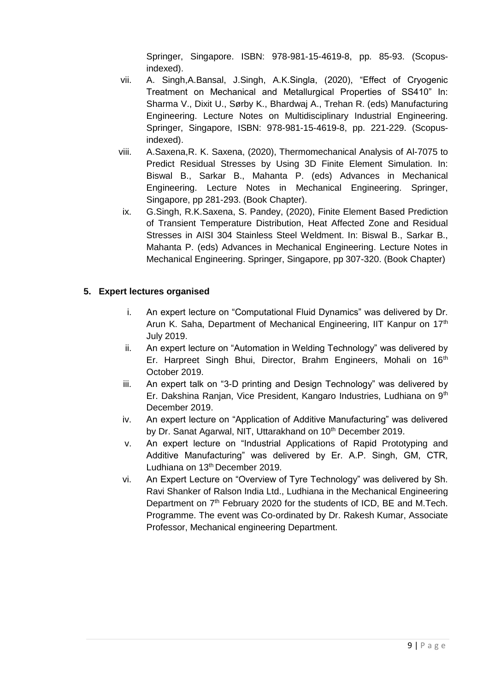Springer, Singapore. ISBN: 978-981-15-4619-8, pp. 85-93. (Scopusindexed).

- vii. A. Singh,A.Bansal, J.Singh, A.K.Singla, (2020), "Effect of Cryogenic Treatment on Mechanical and Metallurgical Properties of SS410" In: Sharma V., Dixit U., Sørby K., Bhardwaj A., Trehan R. (eds) Manufacturing Engineering. Lecture Notes on Multidisciplinary Industrial Engineering. Springer, Singapore, ISBN: 978-981-15-4619-8, pp. 221-229. (Scopusindexed).
- viii. A.Saxena,R. K. Saxena, (2020), Thermomechanical Analysis of Al-7075 to Predict Residual Stresses by Using 3D Finite Element Simulation. In: Biswal B., Sarkar B., Mahanta P. (eds) Advances in Mechanical Engineering. Lecture Notes in Mechanical Engineering. Springer, Singapore, pp 281-293. (Book Chapter).
- ix. G.Singh, R.K.Saxena, S. Pandey, (2020), Finite Element Based Prediction of Transient Temperature Distribution, Heat Affected Zone and Residual Stresses in AISI 304 Stainless Steel Weldment. In: Biswal B., Sarkar B., Mahanta P. (eds) Advances in Mechanical Engineering. Lecture Notes in Mechanical Engineering. Springer, Singapore, pp 307-320. (Book Chapter)

### **5. Expert lectures organised**

- i. An expert lecture on "Computational Fluid Dynamics" was delivered by Dr. Arun K. Saha, Department of Mechanical Engineering, IIT Kanpur on 17<sup>th</sup> July 2019.
- ii. An expert lecture on "Automation in Welding Technology" was delivered by Er. Harpreet Singh Bhui, Director, Brahm Engineers, Mohali on 16<sup>th</sup> October 2019.
- iii. An expert talk on "3-D printing and Design Technology" was delivered by Er. Dakshina Ranjan, Vice President, Kangaro Industries, Ludhiana on 9<sup>th</sup> December 2019.
- iv. An expert lecture on "Application of Additive Manufacturing" was delivered by Dr. Sanat Agarwal, NIT, Uttarakhand on 10<sup>th</sup> December 2019.
- v. An expert lecture on "Industrial Applications of Rapid Prototyping and Additive Manufacturing" was delivered by Er. A.P. Singh, GM, CTR, Ludhiana on 13<sup>th</sup> December 2019.
- vi. An Expert Lecture on "Overview of Tyre Technology" was delivered by Sh. Ravi Shanker of Ralson India Ltd., Ludhiana in the Mechanical Engineering Department on 7<sup>th</sup> February 2020 for the students of ICD, BE and M.Tech. Programme. The event was Co-ordinated by Dr. Rakesh Kumar, Associate Professor, Mechanical engineering Department.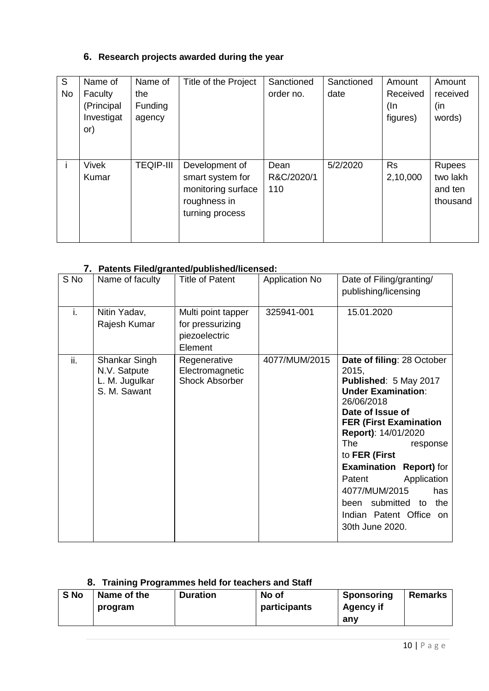# **6. Research projects awarded during the year**

| S<br><b>No</b> | Name of<br>Faculty<br>(Principal<br>Investigat<br>or) | Name of<br>the<br>Funding<br>agency | Title of the Project                                                                        | Sanctioned<br>order no.   | Sanctioned<br>date | Amount<br>Received<br>(In<br>figures) | Amount<br>received<br>(in<br>words)              |
|----------------|-------------------------------------------------------|-------------------------------------|---------------------------------------------------------------------------------------------|---------------------------|--------------------|---------------------------------------|--------------------------------------------------|
|                | <b>Vivek</b><br>Kumar                                 | <b>TEQIP-III</b>                    | Development of<br>smart system for<br>monitoring surface<br>roughness in<br>turning process | Dean<br>R&C/2020/1<br>110 | 5/2/2020           | <b>Rs</b><br>2,10,000                 | <b>Rupees</b><br>two lakh<br>and ten<br>thousand |

## **7. Patents Filed/granted/published/licensed:**

| S No | Name of faculty                                                 | <b>Title of Patent</b>                                             | <b>Application No</b> | Date of Filing/granting/<br>publishing/licensing                                                                                                                                                                                                                                                                                                                                                             |  |
|------|-----------------------------------------------------------------|--------------------------------------------------------------------|-----------------------|--------------------------------------------------------------------------------------------------------------------------------------------------------------------------------------------------------------------------------------------------------------------------------------------------------------------------------------------------------------------------------------------------------------|--|
| i.   | Nitin Yadav,<br>Rajesh Kumar                                    | Multi point tapper<br>for pressurizing<br>piezoelectric<br>Element | 325941-001            | 15.01.2020                                                                                                                                                                                                                                                                                                                                                                                                   |  |
| ii.  | Shankar Singh<br>N.V. Satpute<br>L. M. Jugulkar<br>S. M. Sawant | Regenerative<br>Electromagnetic<br><b>Shock Absorber</b>           | 4077/MUM/2015         | Date of filing: 28 October<br>2015,<br>Published: 5 May 2017<br><b>Under Examination:</b><br>26/06/2018<br>Date of Issue of<br><b>FER (First Examination</b><br>Report): 14/01/2020<br><b>The</b><br>response<br>to FER (First<br><b>Examination</b><br><b>Report</b> ) for<br>Application<br>Patent<br>4077/MUM/2015<br>has<br>submitted<br>the<br>been<br>to<br>Indian Patent Office on<br>30th June 2020. |  |

# **8. Training Programmes held for teachers and Staff**

| S No | Name of the | <b>Duration</b> | No of        | <b>Sponsoring</b> | <b>Remarks</b> |
|------|-------------|-----------------|--------------|-------------------|----------------|
|      | program     |                 | participants | <b>Agency if</b>  |                |
|      |             |                 |              | anv               |                |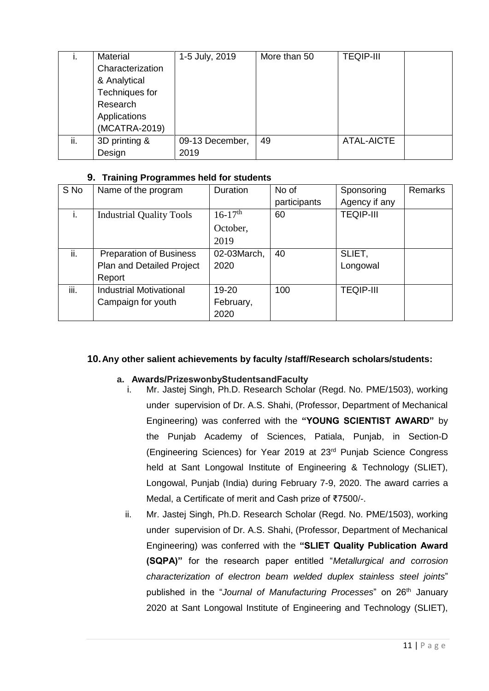| ι.  | Material         | 1-5 July, 2019  | More than 50 | <b>TEQIP-III</b> |  |
|-----|------------------|-----------------|--------------|------------------|--|
|     | Characterization |                 |              |                  |  |
|     | & Analytical     |                 |              |                  |  |
|     | Techniques for   |                 |              |                  |  |
|     | Research         |                 |              |                  |  |
|     | Applications     |                 |              |                  |  |
|     | (MCATRA-2019)    |                 |              |                  |  |
| ii. | 3D printing &    | 09-13 December, | 49           | ATAL-AICTE       |  |
|     | Design           | 2019            |              |                  |  |

### **9. Training Programmes held for students**

| S No | Name of the program             | Duration              | No of        | Sponsoring       | <b>Remarks</b> |
|------|---------------------------------|-----------------------|--------------|------------------|----------------|
|      |                                 |                       | participants | Agency if any    |                |
| i.   | <b>Industrial Quality Tools</b> | $16-17$ <sup>th</sup> | 60           | <b>TEQIP-III</b> |                |
|      |                                 | October,              |              |                  |                |
|      |                                 | 2019                  |              |                  |                |
| ii.  | <b>Preparation of Business</b>  | 02-03March,           | 40           | SLIET,           |                |
|      | Plan and Detailed Project       | 2020                  |              | Longowal         |                |
|      | Report                          |                       |              |                  |                |
| iii. | <b>Industrial Motivational</b>  | 19-20                 | 100          | <b>TEQIP-III</b> |                |
|      | Campaign for youth              | February,             |              |                  |                |
|      |                                 | 2020                  |              |                  |                |

## **10.Any other salient achievements by faculty /staff/Research scholars/students:**

## **a. Awards/PrizeswonbyStudentsandFaculty**

- i. Mr. Jastej Singh, Ph.D. Research Scholar (Regd. No. PME/1503), working under supervision of Dr. A.S. Shahi, (Professor, Department of Mechanical Engineering) was conferred with the **"YOUNG SCIENTIST AWARD"** by the Punjab Academy of Sciences, Patiala, Punjab, in Section-D (Engineering Sciences) for Year 2019 at 23rd Punjab Science Congress held at Sant Longowal Institute of Engineering & Technology (SLIET), Longowal, Punjab (India) during February 7-9, 2020. The award carries a Medal, a Certificate of merit and Cash prize of ₹7500/-.
- ii. Mr. Jastej Singh, Ph.D. Research Scholar (Regd. No. PME/1503), working under supervision of Dr. A.S. Shahi, (Professor, Department of Mechanical Engineering) was conferred with the **"SLIET Quality Publication Award (SQPA)"** for the research paper entitled "*Metallurgical and corrosion characterization of electron beam welded duplex stainless steel joints*" published in the "Journal of Manufacturing Processes" on 26<sup>th</sup> January 2020 at Sant Longowal Institute of Engineering and Technology (SLIET),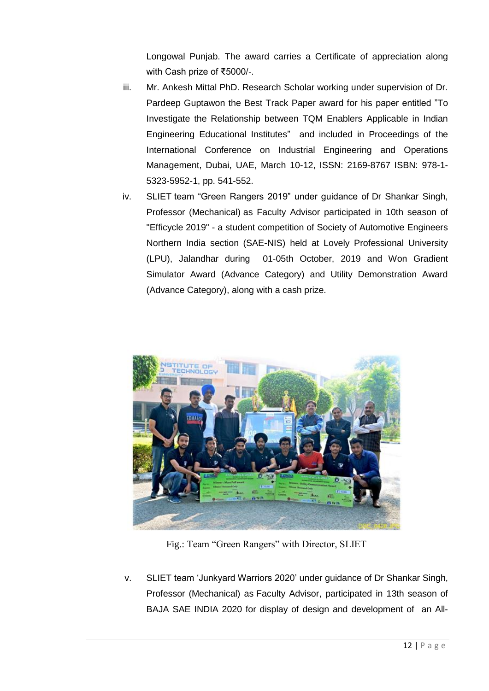Longowal Punjab. The award carries a Certificate of appreciation along with Cash prize of ₹5000/-.

- iii. Mr. Ankesh Mittal PhD. Research Scholar working under supervision of Dr. Pardeep Guptawon the Best Track Paper award for his paper entitled "To Investigate the Relationship between TQM Enablers Applicable in Indian Engineering Educational Institutes" and included in Proceedings of the International Conference on Industrial Engineering and Operations Management, Dubai, UAE, March 10-12, ISSN: 2169-8767 ISBN: 978-1- 5323-5952-1, pp. 541-552.
- iv. SLIET team "Green Rangers 2019" under guidance of Dr Shankar Singh, Professor (Mechanical) as Faculty Advisor participated in 10th season of "Efficycle 2019" - a student competition of Society of Automotive Engineers Northern India section (SAE-NIS) held at Lovely Professional University (LPU), Jalandhar during 01-05th October, 2019 and Won Gradient Simulator Award (Advance Category) and Utility Demonstration Award (Advance Category), along with a cash prize.



Fig.: Team "Green Rangers" with Director, SLIET

v. SLIET team 'Junkyard Warriors 2020' under guidance of Dr Shankar Singh, Professor (Mechanical) as Faculty Advisor, participated in 13th season of BAJA SAE INDIA 2020 for display of design and development of an All-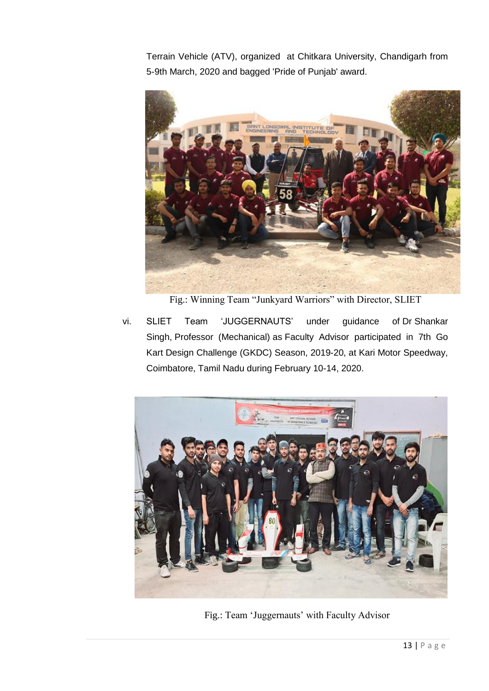Terrain Vehicle (ATV), organized at Chitkara University, Chandigarh from 5-9th March, 2020 and bagged 'Pride of Punjab' award.



Fig.: Winning Team "Junkyard Warriors" with Director, SLIET

vi. SLIET Team 'JUGGERNAUTS' under guidance of Dr Shankar Singh, Professor (Mechanical) as Faculty Advisor participated in 7th Go Kart Design Challenge (GKDC) Season, 2019-20, at Kari Motor Speedway, Coimbatore, Tamil Nadu during February 10-14, 2020.



Fig.: Team 'Juggernauts' with Faculty Advisor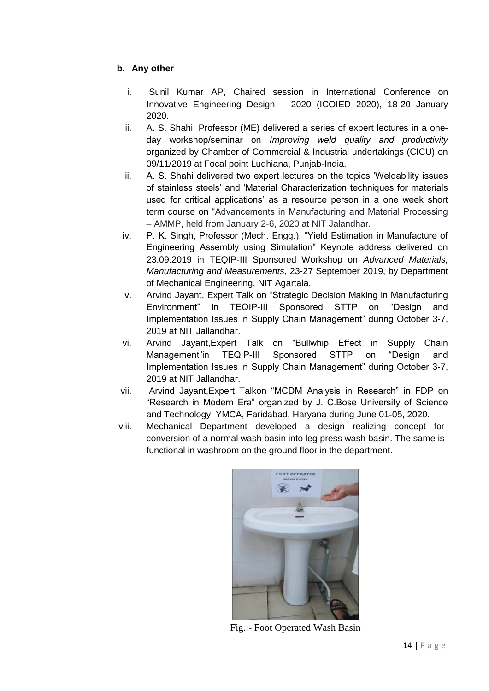## **b. Any other**

- i. Sunil Kumar AP, Chaired session in International Conference on Innovative Engineering Design – 2020 (ICOIED 2020), 18-20 January 2020.
- ii. A. S. Shahi, Professor (ME) delivered a series of expert lectures in a oneday workshop/seminar on *Improving weld quality and productivity* organized by Chamber of Commercial & Industrial undertakings (CICU) on 09/11/2019 at Focal point Ludhiana, Punjab-India.
- iii. A. S. Shahi delivered two expert lectures on the topics 'Weldability issues of stainless steels' and 'Material Characterization techniques for materials used for critical applications' as a resource person in a one week short term course on "Advancements in Manufacturing and Material Processing – AMMP, held from January 2-6, 2020 at NIT Jalandhar.
- iv. P. K. Singh, Professor (Mech. Engg.), "Yield Estimation in Manufacture of Engineering Assembly using Simulation" Keynote address delivered on 23.09.2019 in TEQIP-III Sponsored Workshop on *Advanced Materials, Manufacturing and Measurements*, 23-27 September 2019, by Department of Mechanical Engineering, NIT Agartala.
- v. Arvind Jayant, Expert Talk on "Strategic Decision Making in Manufacturing Environment" in TEQIP-III Sponsored STTP on "Design and Implementation Issues in Supply Chain Management" during October 3-7, 2019 at NIT Jallandhar.
- vi. Arvind Jayant,Expert Talk on "Bullwhip Effect in Supply Chain Management"in TEQIP-III Sponsored STTP on "Design and Implementation Issues in Supply Chain Management" during October 3-7, 2019 at NIT Jallandhar.
- vii. Arvind Jayant,Expert Talkon "MCDM Analysis in Research" in FDP on "Research in Modern Era" organized by J. C.Bose University of Science and Technology, YMCA, Faridabad, Haryana during June 01-05, 2020.
- viii. Mechanical Department developed a design realizing concept for conversion of a normal wash basin into leg press wash basin. The same is functional in washroom on the ground floor in the department.



Fig.:- Foot Operated Wash Basin